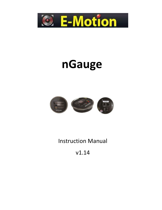

# **nGauge**



## Instruction Manual

v1.14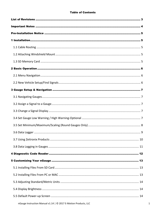#### **Table of Contents**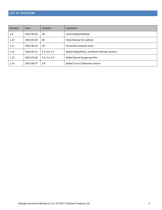#### <span id="page-3-0"></span>**LIST OF REVISIONS**

| Revision | Date       | Chapters      | <b>Comments</b>                               |
|----------|------------|---------------|-----------------------------------------------|
| 1.9      | 2016-03-03 | All           | Initial Indexed Release                       |
| 1.10     | 2016-03-29 | All           | Initial Release for website                   |
| 1.11     | 2016-04-14 | All           | Corrected company name                        |
| 1.12     | 2016-05-12 | 5.4, 5.6, 5.7 | Added Sleep/Wake, and Reset Settings sections |
| 1.13     | 2016-07-28 | 5.4, 3.4, 3.5 | Added Round Gauge specifics                   |
| 1.14     | 2017-09-27 | 5.8           | Added Touch Calibration section               |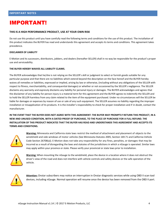### <span id="page-4-0"></span>IMPORTANT!

#### **THIS IS A HIGH PERFORMANCE PRODUCT, USE AT YOUR OWN RISK**

Do not use this product until you have carefully read the following terms and conditions for the use of this product. The installation of this product indicates the BUYER has read and understands this agreement and accepts its terms and conditions. This agreement takes precedence.

#### **DISCLAIMER OF LIABILITY**

E-Motion and its successors, distributors, jobbers, and dealers (hereafter SELLER) shall in no way be responsible for the product's proper use and serviceability.

#### **THE BUYER HEREBY WAIVES ALL LIABILITY CLAIMS.**

The BUYER acknowledges that he/she is not relying on the SELLER's skill or judgment to select or furnish goods suitable for any particular purpose and that there are no liabilities which extend beyond the description on the face hereof and the BUYER hereby waives all remedies or liabilities, expressed or implied, arising by law or otherwise, (including without any obligations of the SELLER with respect to fitness, merchantability, and consequential damages) or whether or not occasioned by the SELLER's negligence. The SELLER disclaims any warranty and expressly disclaims any liability for personal injury or damages. The BUYER acknowledges and agrees that the disclaimer of any liability for person injury is a material term for this agreement and the BUYER agrees to indemnify the SELLER and to hold the SELLER harmless from any claim related to the item of the equipment purchased. Under no circumstances will the SELLER be liable for damages or expenses by reason of use or sale of any such equipment. The SELLER assumes no liability regarding the improper installation or misapplication of its products. It is the installer's responsibility to check for proper installation and if in doubt, contact the manufacturer.

**IN THE EVENT THAT THE BUYER DOES NOT AGREE WITH THIS AGREEMENT: THE BUYER MAY PROMPTLY RETURN THIS PRODUCT, IN A NEW AND UNUSED CONDITION, WITH A DATED PROOF OF PURCHASE, TO THE PLACE OF PURCHASE FOR A FULL REFUND. THE INSTALLATION OF THIS PRODUCT INDICATES THAT THE BUYER HAS READ AND UNDERSTANDS THIS AGREEMENT AND ACCEPTS ITS TERMS AND CONDITIONS.**



**Warning:** Minnesota and California state laws restrict the method of attachment and placement of objects to the windshield and side windows of motor vehicles (See Minnesota Statutes 2005, Section 169.71 and California Vehicle Code Section 26708(a)). E-Motion does not take any responsibility for any fines, penalties, or damages that may be incurred as a result of disregarding the laws and statutes of the jurisdictions in which a nGauge is operated. Similar laws may apply within your province or state. Please verify your provincial or state laws prior to installation.



**Warning:** When mounting the nGauge to the windshield, place the device in a location where it does not obstruct the driver's view of the road and does not interfere with vehicle controls and safety devices or the safe operation of the vehicle.



**Attention:** Onstar subscribers may notice an interruption in Onstar diagnostic services while using OBD II scan tool devices, including nGauge. Normal operation will resume once the device has been removed from the OBD II port.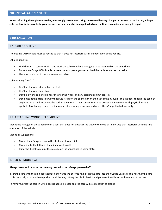#### <span id="page-5-0"></span>**PRE-INSTALLATION NOTICE**

**When reflashing the engine controller, we strongly recommend using an external battery charger or booster. If the battery voltage gets too low during a reflash, your engine controller may be damaged, which can be time consuming and costly to repair.** 

#### <span id="page-5-1"></span>**1 INSTALLATION**

#### <span id="page-5-2"></span>1.1 CABLE ROUTING

The nGauge OBD II cable must be routed so that it does not interfere with safe operation of the vehicle.

Cable routing tips:

- Find the OBD II connector first and work the cable to where nGauge is to be mounted on the windshield.
- Route the nGauge OBD II cable between interior panel grooves to hold the cable as well as conceal it.
- Use wire or zip ties to bundle any excess cable.

#### Cable routing "Don'ts"

- Don't let the cable dangle by your feet.
- Don't let the cable hang free.
- Don't allow the cable to be near the steering wheel and any steering column controls.
- Don't mount the cable in a way that puts stress on the connector on the back of the nGauge. This includes routing the cable at angles other than directly out the back of the mount. That connector can be broken off when too much physical force is applied. Any damage caused by improper cable routing is **not** covered under the nGauge limited warranty.

#### <span id="page-5-3"></span>1.2 ATTACHING WINDSHIELD MOUNT

Mount the nGauge on the windshield in a spot that does not obstruct the view of the road or in any way that interferes with the safe operation of the vehicle.

Mounting Suggestions:

- Mount the nGauge as low to the dashboard as possible.
- Mounting to the left or in the middle works well.
- It may be illegal to mount the nGauge on the windshield in some states.

#### <span id="page-5-4"></span>1.3 SD MEMORY CARD

#### **Always insert and remove the memory card with the nGauge powered off.**

Insert the card with the gold contacts facing towards the chrome ring. Press the card into the nGauge until a click is heard. If the card sticks out at all, it has not been pushed in all the way. Using the black plastic spudger eases installation and removal of the card.

To remove, press the card in until a click is heard. Release and the card will eject enough to grab it.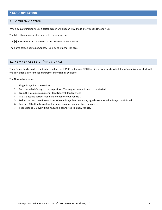#### <span id="page-6-0"></span>**2 BASIC OPERATION**

#### <span id="page-6-1"></span>2.1 MENU NAVIGATION

When nGauge first starts up, a splash screen will appear. It will take a few seconds to start up.

The [√] button advances the screen to the next menu.

The [x] button returns the screen to the previous or main menu.

The home screen contains Gauges, Tuning and Diagnostics tabs.

#### <span id="page-6-2"></span>2.2 NEW VEHICLE SETUP/FIND SIGNALS

The nGauge has been designed to be used on most 1996 and newer OBD II vehicles. Vehicles to which the nGauge is connected, will typically offer a different set of parameters or signals available.

#### The New Vehicle setup:

- 1. Plug nGauge into the vehicle.
- 2. Turn the vehicle's key to the on position. The engine does not need to be started.
- 3. From the nGauge main menu, Tap [Gauges], tap [connect].
- 4. Tap [Select the correct make and model for your vehicle].
- 5. Follow the on-screen instructions. When nGauge lists how many signals were found, nGauge has finished.
- 6. Tap the [√] button to confirm the selection once scanning has completed.
- 7. Repeat steps 1-6 every time nGauge is connected to a new vehicle.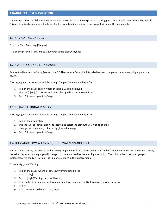#### <span id="page-7-0"></span>**3 GAUGE SETUP & NAVIGATION**

The nGauge offers the ability to monitor vehicle sensors for real time display and data logging. Data sample rates will vary by vehicle. This rate is a fixed amount and the total of active signals being monitored and logged will share this sample rate.

#### <span id="page-7-1"></span>3.1 NAVIGATING GAUGES

From the Main Menu tap [Gauges].

Tap on the [<] and [>] buttons to view other gauge display layouts.

#### <span id="page-7-2"></span>3.2 ASSIGN A SIGNAL TO A GAUGE

Be sure the New Vehicle Setup (see section: [2.2 New Vehicle Setup/Find Signals\)](#page-6-2) has been completed before assigning signals to a gauge.

Ensure gauge is connected to vehicle through Gauges, Connect and Key is ON

- 1. Tap on the gauge region where the signal will be displayed.
- 2. Use the  $\leq$  or  $\leq$  to locate and select the signal you wish to monitor.
- 3. Tap [√] to save signal to nGauge.

#### <span id="page-7-3"></span>3.3 CHANGE A SIGNAL DISPLAY

Ensure gauge is connected to vehicle through Gauges, Connect and Key is ON

- 1. Tap on the display tab
- 2. Use the [up] or [down] arrows to locate and select the attribute you wish to change.
- 3. Change the name, unit, color or high/low value range
- 4. Tap [√] to save signal to nGauge.

#### <span id="page-7-4"></span>3.4 SET GAUGE LOW WARNING / HIGH WARNING-OPTIONAL

For the round gauges, the low and high warnings appear with fixed colors similar to a "redline" implementation. For the other gauges, the value displayed by the gauge will change color when it reaches the warning thresholds. The color in the non-round gauges is customizable via the Low/Normal/High Color selections in the Display menu.

To set a High/Low Warning:

- 1. Tap on the gauge where a High/Low Warning is to be set.
- 2. Tap [Display].
- 3. Tap on [High Warning] or [Low Warning].
- 4. Type in the desired upper or lower warning level number. Tap [+/-] to make the value negative.
- 5. Tap [√].
- 6. Tap [Return] to go back to the gauges.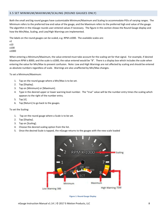#### <span id="page-8-0"></span>3.5 SET MINIMUM/MAXIMUM/SCALING (ROUND GAUGES ONLY)

Both the small and big round gauges have customizable Minimum/Maximum and Scaling to accommodate PIDs of varying ranges. The Minimum refers to the preferred low end value of the gauge, and the Maximum refers to the preferred high end value of the gauge. The algorithm in the nGauge rounds user-entered values if necessary. The figure in this section shows the Round Gauge display and how the Min/Max, Scaling, and Low/High Warnings are implemented.

The labels on the round gauges can be scaled, e.g. RPM x1000. The available scales are:

x1 x10 x100 x1000

When entering a Minimum/Maximum, the value entered must take account for the scaling set for that signal. For example, if desired Maximum RPM is 8000, and the scale is x1000, the value entered would be "8". There is a display box which includes the scale when entering the value for Min/Max to prevent confusion. Note: Low and High Warnings are not affected by scaling and should be entered as absolute numbers regardless of scale. Warnings are also unaffected by Min/Max changes.

To set a Minimum/Maximum:

- 1. Tap on the round gauge where a Min/Max is to be set.
- 2. Tap [Display].
- 3. Tap on [Minimum] or [Maximum].
- 4. Type in the desired upper or lower warning level number. The "true" value will be the number entry times the scaling which appears to the right of the number entry.
- 5. Tap [√].
- 6. Tap [Return] to go back to the gauges.

#### To set the Scaling:

- 1. Tap on the round gauge where a Scale is to be set.
- 2. Tap [Display].
- 3. Tap on [Scaling].
- 4. Choose the desired scaling option from the list.
- 5. Once the desired Scale is tapped, the nGauge returns to the gauges with the new scale loaded



**Figure 1: Round Gauge Display**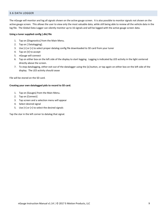#### <span id="page-9-0"></span>3.6 DATA LOGGER

The nGauge will monitor and log all signals shown on the active gauge screen. It is also possible to monitor signals not shown on the active gauge screen. This allows the user to view only the most valuable data, while still being able to review all the vehicle data in the log file. The Global Data Logger can silently monitor up to 16 signals and will be logged with the active gauge screen data.

#### **Using a tuner supplied config (.dle) file**

- 1. Tap on [Diagnostics] from the Main Menu.
- 2. Tap on [ Datalogging].
- 3. Use [<] or [>] to select proper datalog config file downloaded to SD card from your tuner
- 4. Tap on [√] to accept
- 5. nGauge will connect
- 6. Tap on either box on the left side of the display to start logging. Logging is indicated by LED activity in the light centered directly above the screen.
- 7. To stop datalogging, either exit out of the datalogger using the [x] button, or tap again on either box on the left side of the display. The LED activity should cease

File will be stored on the SD card.

#### **Creating your own datalogged pids to record to SD card.**

- 1. Tap on [Gauges] from the Main Menu.
- 2. Tap on [Connect]
- 3. Tap screen and a selection menu will appear
- 4. Select desired signal
- 5. Use [<] or [>] to select the desired signals

Tap the star in the left corner to datalog that signal.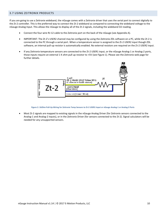#### <span id="page-10-0"></span>3.7 USING ZEITRONIX PRODUCTS

If you are going to use a Zeitronix wideband, the nGauge comes with a Zeitronix driver that uses the serial port to connect digitally to the Zt-2 controller. This is the preferred way to connect the Zt-2 wideband as compared to connecting the wideband voltage to the nGauge Analog Input. This allows the nGauge to display all of the Zt-2 signals, including the wideband O2 reading.

- Connect the four wire RJ-12 cable to the Zeitronix port on the back of the nGauge (see Appendix A).
- IMPORTANT: The Zt-2's USER2 channel may be configured by using the Zeitronix ZDL software on a PC, while the Zt-2 is connected to the PC through a serial port. When a temperature sensor is assigned to the Zt-2 USER2 input though ZDL software, an internal pull-up resistor is automatically enabled. No external resistors are required on the Zt-2 USER2 input.
- If any Zeitronix temperature sensors are connected to the Zt-2 USER1 input, or the nGauge Analog-1 or Analog-2 ports, those inputs require an external 1 K ohm pull up resistor to +5V (see Figure 1). Please see the Zeitronix web page for further details.



**Figure 2: 1kOhm Pull-Up Wiring for Zeitronix Temp Sensors to Zt-2 USER1 Input or nGauge Analog-1 or Analog-2 Ports** 

• Most Zt-2 signals are mapped to existing signals in the nGauge Analog Driver (for Zeitronix sensors connected to the Analog-1 and Analog-2 inputs), or in the Zeitronix Driver (for sensors connected to the Zt-2). Signal calculators will be needed for any unsupported sensors.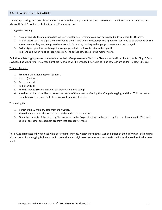#### <span id="page-11-0"></span>3.8 DATA LOGGING IN GAUGES

The nGauge can log and save all information represented on the gauges from the active screen. The information can be saved as a Microsoft Excel \*.csv directly to the inserted SD memory card.

#### To begin data logging:

- 1. Assign signals to the gauges to data log (see Chapter 3.5, "Creating your own datalogged pids to record to SD card").
- 2. Tap on [Start Log]. The signals will be saved to the SD card with a timestamp. The signals will continue to be displayed on the screen even as they are being saved to the card. Once a log has begun the gauge screen cannot be changed.
- 3. To log signals you don't wish to put into a gauge, select the favorites star in the signal list.
- 4. Tap [End Log] when finished logging session. The data is now saved to the memory card.

Each time a data logging session is started and ended, nGauge saves one file to the SD memory card in a directory called "logs." Each saved file has a log prefix. The default prefix is "log", and will be changed by a value of +1 as new logs are added. (ex log\_001.csv)

#### To start the log x:

- 1. From the Main Menu, tap on [Gauges].
- 2. Tap on [Connect]
- 3. Tap on a signal
- 4. Tap [Start Log]
- 5. File will save to SD card in numerical order with a time stamp
- 6. A red record button will be shown on the center of the screen confirming the nGauge is logging, and the LED in the center directly above the screen will also show confirmation of logging.

#### To view log files:

- 1. Remove the SD memory card from the nGauge.
- 2. Place the memory card into a SD card reader and attach to your PC.
- 3. Open the contents of the card. Log files are saved in the "logs" directory on the card. Log files may be opened in Microsoft Excel or any other spreadsheet program that accepts \*.csv files.

Note: Auto brightness will not adjust while datalogging. Instead, whatever brightness was being used at the beginning of datalogging will persist until datalogging is done, at which point the auto brightness resumes its normal activity without the need for further user input.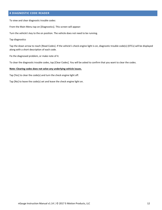#### <span id="page-12-0"></span>**4 DIAGNOSTIC CODE READER**

To view and clear diagnostic trouble codes:

From the Main Menu tap on [Diagnostics]. This screen will appear:

Turn the vehicle's key to the on position. The vehicle does not need to be running.

Tap diagnostics

Tap the down arrow to reach [Read Codes]. If the vehicle's check engine light is on, diagnostic trouble code(s) (DTCs) will be displayed along with a short description of each code.

Fix the diagnosed problem, or make note of it.

To clear the diagnostic trouble codes, tap [Clear Codes]. You will be asked to confirm that you want to clear the codes.

#### **Note: Clearing codes does not solve any underlying vehicle issues.**

Tap [Yes] to clear the code(s) and turn the check engine light off.

Tap [No] to leave the code(s) set and leave the check engine light on.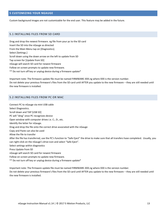#### <span id="page-13-0"></span>**5 CUSTOMIZING YOUR NGAUGE**

Custom background images are not customizable for the end user. This feature may be added in the future.

#### <span id="page-13-1"></span>5.1 INSTALLING FILES FROM SD CARD

Drag and drop the newest firmware .ng file from your pc to the SD card Insert the SD into the nGauge as directed From the Main Menu tap on [Diagnostics]. Select [Settings.] Scroll down using the down arrow on the left to update from SD Tap screen for [Update from SD] nGauge will search SD card for newest firmware

Follow on screen prompts to update new firmware.

\*\* Do not turn off key or unplug device during a firmware update\*

Important note: The firmware update file must be named FIRMWARE-XXX.ng where XXX is the version number. Do not delete your previous firmware's files from the SD card until AFTER you update to the new firmware – they are still needed until the new firmware is installed.

#### <span id="page-13-2"></span>5.2 INSTALLING FILES FROM PC OR MAC

Connect PC to nGauge via mini USB cable Select Diagnostics. Scroll down and TAP [USB SD] PC will "ding" once PC recognizes device Open window with computer drives i.e. C:, D:, etc. Identify the letter for nGauge. Drag and drop the file onto the correct drive associated with the nGauge Copy and Paste can also be used Allow the file to transfer After the file has transferred, use the PC's function to "Safe Eject" the drive to make sure that all transfers have completed. Usually, you can right-click on the nGauge's drive icon and select "Safe Eject". Select settings within diagnostics Press Update from SD nGauge will search SD card for newest firmware Follow on screen prompts to update new firmware. \*\* Do not turn off key or unplug device during a firmware update\*

Important note: The firmware update file must be named FIRMWARE-XXX.ng where XXX is the version number. Do not delete your previous firmware's files from the SD card until AFTER you update to the new firmware – they are still needed until

the new firmware is installed.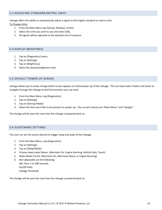#### <span id="page-14-0"></span>5.3 ADJUSTING STANDARD/METRIC UNITS

nGauge offers the ability to automatically adjust a signal to the English standard or metric units.

To Change Units:

- 1. From the Main Menu tap [Setup], [Display], [Units].
- 2. Select the Units you wish to use and select [Ok].
- 3. All signals will be adjusted to the selected unit of measure.

#### <span id="page-14-1"></span>5.4 DISPLAY BRIGHTNESS

- 1. Tap on [Diagnostics] menu
- 2. Tap on [Settings]
- 3. Tap on [Brightness]
- 4. Select the desired brightness level.

#### <span id="page-14-2"></span>5.5 DEFAULT POWER-UP SCREEN

nGauge allows you to easily change which screen appears on initial power-up of the nGauge. This can help make it faster and easier to navigate through the nGauge to find the functions you use most.

- 1. From the Main Menu, tap [Diagnostics]
- 2. Tap on [Settings]
- 3. Tap on [Startup Mode]
- 4. Select the item you'd like to be present on power-up. The current choices are "Main Menu" and "Gauges".

The change will be seen the next time the nGauge is powered back on.

#### <span id="page-14-3"></span>5.6 SLEEP/WAKE SETTINGS

The user can set the events desired to trigger sleep and wake of the nGauge.

- 1. From the Main Menu, tap [Diagnostics]
- 2. Tap on [Settings]
- 3. Tap on [Sleep/Wake]
- 4. Choose sleep mode (Never, Alternator On, Engine Running, Vehicle Data, Touch)
- 5. Wake Mode (Touch, Alternator On, Alternator Noise, or Engine Running)
- 6. Also adjustable are the following: Idle Time: 5 to 300 seconds On/Off Volts Voltage Threshold

The change will be seen the next time the nGauge is powered back on.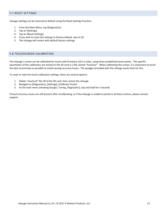#### <span id="page-15-0"></span>5.7 RESET SETTINGS

nGauge settings can be restored to default using the Reset Settings function.

- 1. From the Main Menu, tap [Diagnostics]
- 2. Tap on [Settings]
- 3. Tap on [Reset Settings]
- 4. If you wish to reset the settings to factory default, tap on [v]
- 5. The nGauge will restart with default factory settings

#### <span id="page-15-1"></span>5.8 TOUCHSCREEN CALIBRATION

The nGauge's screen can be calibrated for touch with firmware v252 or later, using three predefined touch points. The specific parameters of the calibration are stored on the SD card in a file named "touchcal". When calibrating the screen, it is important to touch the dots as precisely as possible to avoid causing accuracy issues. The spudger provided with the nGauge works best for this.

To reset or redo the touch calibration settings, there are several options:

- 1. Delete "touchcal" file off of the SD card, then restart the nGauge
- 2. Navigate to [Diagnostics], [Settings], [Calibrate Touch]
- 3. At the main menu (showing Gauges, Tuning, Diagnostics), tap and hold for 5 seconds

If touch accuracy issues are still present after recalibrating, or if the nGauge is unable to perform all these actions, please contact support.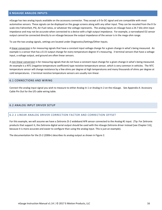#### <span id="page-16-0"></span>**6 NGAUGE ANALOG INPUTS**

nGauge has two analog inputs available on the accessory connector. They accept a 0-5v DC signal and are compatible with most automotive sensors. These signals can be displayed on the gauge screens along with any other input. They can be rescaled from the 0-5v scale into Fahrenheit, PSI, Air-Fuel ratios, or whatever the voltage represents. The analog inputs on nGauge have a 24.7 kilo ohm input impedance and may not be accurate when connected to a device with a high output impedance. For example, a narrowband O2 sensor output cannot be connected directly to an nGauge because the output impedance of the sensor is in the mega ohm range.

To use the two analog signals, settings are located under Diagnostics/Settings/Other Inputs.

A linear conversion is for measuring signals that have a constant input voltage change for a given change in what's being measured. An example is a sensor that has a 0.1V output change for every temperature degree it's measuring. 3 terminal sensors that have a voltage input, a voltage output, and ground are often linear sensors.

A non-linear conversion is for measuring signals that do not have a constant input change for a given change in what's being measured. An example is a NTC (negative temperature coefficient) type resistive temperature sensor, which is very common in vehicles. The NTC temperature sensor will change resistance by a few ohms per degree at high temperatures and many thousands of ohms per degree at cold temperatures. 2 terminal resistive temperature sensors are usually non-linear.

#### <span id="page-16-1"></span>6.1 CONNECTIONS AND WIRING

Connect the analog input signal you wish to measure to either Analog In 1 or Analog In 2 on the nGauge. See [Appendix A: Accessory](#page-19-1)  [Cable Pin Out](#page-19-1) for the I/O cable wiring table.

#### <span id="page-16-2"></span>6.2 ANALOG INPUT DRIVER SETUP

#### 6.2.1 LINEAR ANALOG DRIVER CORRECTION FACTOR AND CORRECTION OFFSET

For this example, we will assume we have a Zeitronix Zt-2 wideband AFR sensor connected to the Analog #1 input. (Tip: For Zeitronix products that support it, the Zeitronix digital serial output should be used with the nGauge Zeitronix driver instead [see Chapter 3.6], because it is more accurate and easier to configure than using the analog input. This is just an example).

The documentation for the Zt-2 (2006+) describes its analog output as shown in Figure 2.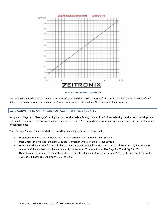

**Figure 3: Linear Wideband Output Graph** 

We see the formula desired is 2\*V+9.6. The factor of 2 is called the "Correction Factor" and the 9.6 is called the "Correction Offset". Refer to the actual sensors user manual for Correction factor and offset values. This is a simple linear formula.

#### 6.2.2 CONVERTING AN ANALOG VOLTAGE INTO PHYSICAL UNITS

Navigate to Diagnostics/Settings/Other Inputs. You can then select Analog channel 1 or 2. After selecting the channel, it will display a screen where you can select from predefined conversions or "user" settings where you can specify the units, scale, offset, and number of decimal places.

These Scaling Parameters are used when converting an analog signal into physical units:

- **User Scale:** How to scale the signal, see the "Correction Factor" in the previous section.
- **User Offset:** The offset for the signal, see the "Correction Offset" in the previous section.
- **User Units:** Physical units for the calculation. Any automatic Imperial/Metric occurs afterward. For example, if a calculation results in °C the number could be automatically converted to °F before display. Use DegC for °C and DegF for °F.
- **User Decimals:** How many decimals to display. Leaving this blank or entering 0 will display 1.256 as 1. Entering 1 will display 1.256 as 1.3. Entering 2 will display 1.256 at 1.26.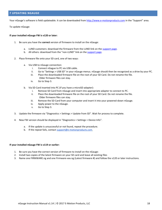<span id="page-18-0"></span>Your nGauge's software is field updateable. It can be downloaded from [http://www.e-motionproducts.com](http://www.e-motionproducts.com/) in the "Support" area.

To update nGauge:

#### **If your installed nGauge FW is v120 or later:**

- 1. Be sure you have the **correct** version of firmware to install on the nGauge:
	- a. LUND customers: download the firmware from the LUND link on th[e support page.](http://e-motionproducts.com/support/index.html)
	- b. All others: download from the "non-LUND" link on the [support page.](http://e-motionproducts.com/support/index.html)
- 2. Place firmware file onto your SD card, one of two ways:
	- a. Via USB to nGauge connection:
		- i. Connect nGague to PC via USB cable.
		- ii. Go to "Settings > USB SD" in your nGauge menus. nGauge should then be recognized as a drive by your PC.
		- iii. Place the downloaded firmware file on the root of your SD Card. Do not rename the file. Older firmware files can stay.
		- iv. Go to Step 3.
	- b. Via SD Card inserted into PC (if you have a microSD adapter):
		- i. Remove SD Card from nGauge and insert into appropriate adapter to connect to PC.
		- ii. Place the downloaded firmware file on the root of your SD Card. Do not rename the file. Older firmware files can stay.
		- iii. Remove the SD Card from your computer and insert it into your powered-down nGauge.
		- iv. Apply power to the nGauge.
		- v. Go to Step 3.
- 3. Update the firmware via "Diagnostics > Settings > Update from SD". Wait for process to complete.
- 4. New FW version should be displayed in "Diagnostics > Settings > Device Info".
	- a. If the update is unsuccessful or not found, repeat the procedure.
	- b. If the repeat fails, contact support@e-motionproducts.com.

#### **If your installed nGauge FW is v119 or earlier:**

- 1. Be sure you have the correct version of firmware to install on the nGauge:
- 2. Install two copies of the latest firmware on your SD card and leave all existing files
- 3. Name one FIRMWARE.ng and one Firmware-xxx.ng (Latest firmware #) and follow the v120 or later instructions.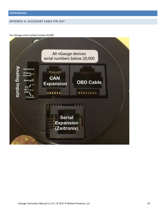#### <span id="page-19-1"></span><span id="page-19-0"></span>APPENDIX A: ACCESSORY CABLE PIN OUT

For nGauge serial numbers below 20,000:

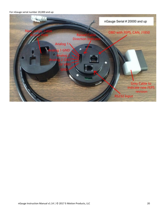For nGauge serial number 20,000 and up: